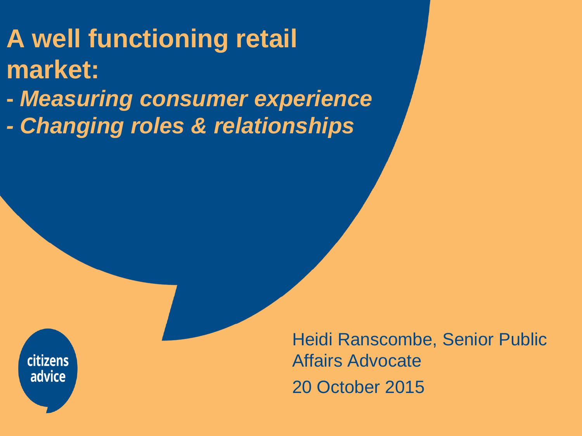# **A well functioning retail market:**

**-** *Measuring consumer experience*

*- Changing roles & relationships*

citizens advice

l

Heidi Ranscombe, Senior Public Affairs Advocate 20 October 2015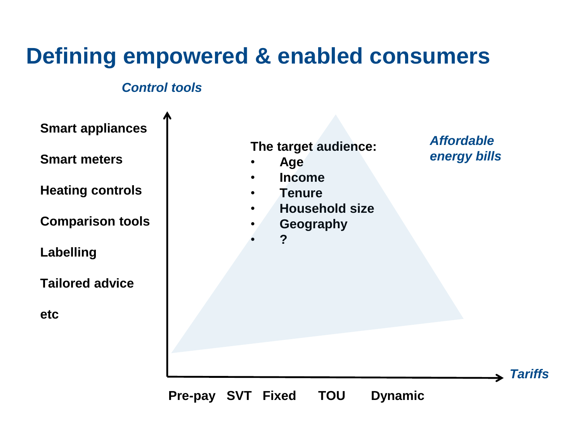### **Defining empowered & enabled consumers**

#### *Control tools*

**Smart appliances**

**Smart meters**

**Heating controls**

**Comparison tools**

**Labelling** 

**Tailored advice**

**etc**

**The target audience:**

- **Age**
- **Income**
- **Tenure**
- **Household size**
- **Geography**
	- **?**

*Affordable energy bills*

*Tariffs*

**Pre-pay SVT Fixed TOU Dynamic**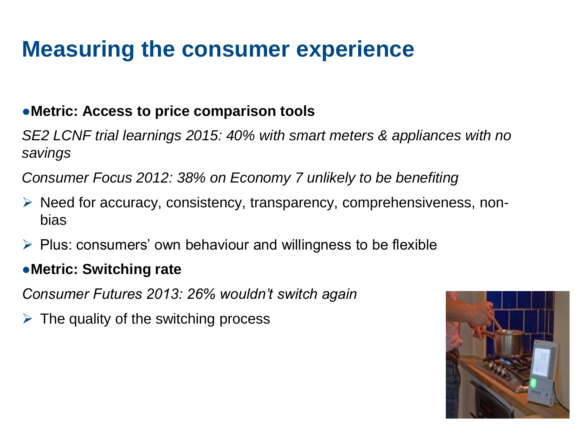## **Measuring the consumer experience**

### ●**Metric: Access to price comparison tools**

*SE2 LCNF trial learnings 2015: 40% with smart meters & appliances with no savings*

*Consumer Focus 2012: 38% on Economy 7 unlikely to be benefiting*

- $\triangleright$  Need for accuracy, consistency, transparency, comprehensiveness, nonbias
- $\triangleright$  Plus: consumers' own behaviour and willingness to be flexible

### ●**Metric: Switching rate**

*Consumer Futures 2013: 26% wouldn't switch again*

 $\triangleright$  The quality of the switching process

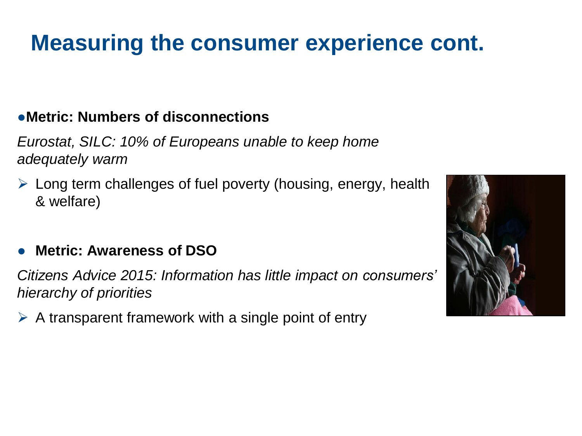## **Measuring the consumer experience cont.**

### ●**Metric: Numbers of disconnections**

*Eurostat, SILC: 10% of Europeans unable to keep home adequately warm*

 $\triangleright$  Long term challenges of fuel poverty (housing, energy, health & welfare)

### ● **Metric: Awareness of DSO**

*Citizens Advice 2015: Information has little impact on consumers' hierarchy of priorities*

 $\triangleright$  A transparent framework with a single point of entry

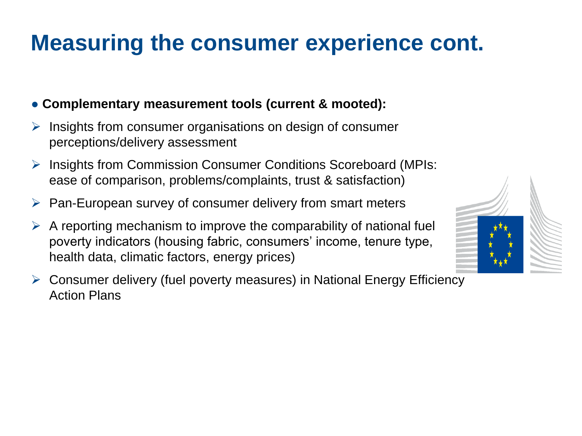## **Measuring the consumer experience cont.**

#### ● **Complementary measurement tools (current & mooted):**

- Insights from consumer organisations on design of consumer perceptions/delivery assessment
- Insights from Commission Consumer Conditions Scoreboard (MPIs: ease of comparison, problems/complaints, trust & satisfaction)
- $\triangleright$  Pan-European survey of consumer delivery from smart meters
- A reporting mechanism to improve the comparability of national fuel poverty indicators (housing fabric, consumers' income, tenure type, health data, climatic factors, energy prices)
- Consumer delivery (fuel poverty measures) in National Energy Efficiency Action Plans

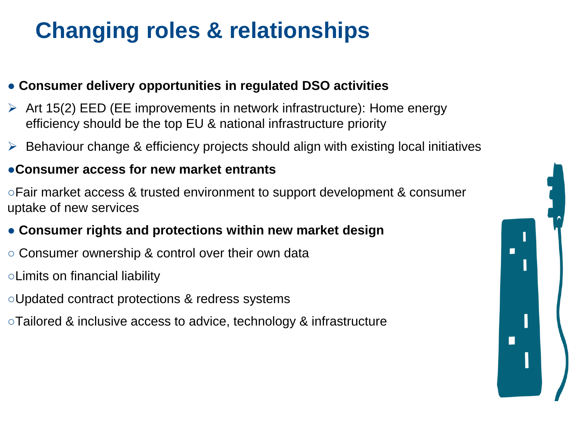## **Changing roles & relationships**

#### ● **Consumer delivery opportunities in regulated DSO activities**

- $\triangleright$  Art 15(2) EED (EE improvements in network infrastructure): Home energy efficiency should be the top EU & national infrastructure priority
- $\triangleright$  Behaviour change & efficiency projects should align with existing local initiatives

#### ●**Consumer access for new market entrants**

○Fair market access & trusted environment to support development & consumer uptake of new services

#### ● **Consumer rights and protections within new market design**

- Consumer ownership & control over their own data
- ○Limits on financial liability
- ○Updated contract protections & redress systems
- ○Tailored & inclusive access to advice, technology & infrastructure

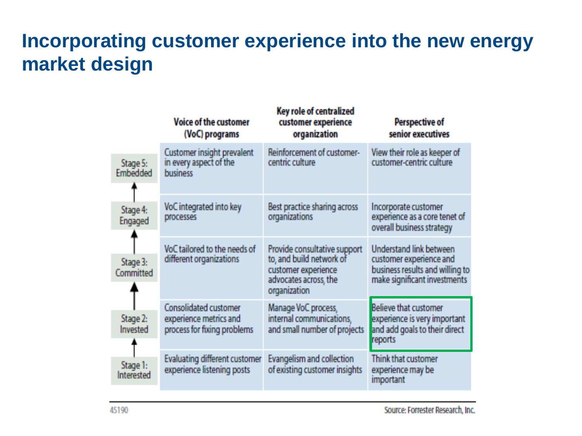### **Incorporating customer experience into the new energy market design**

|  |                        | Voice of the customer<br>(VoC) programs                                               | Key role of centralized<br>customer experience<br>organization                                                           | <b>Perspective of</b><br>senior executives                                                                                   |
|--|------------------------|---------------------------------------------------------------------------------------|--------------------------------------------------------------------------------------------------------------------------|------------------------------------------------------------------------------------------------------------------------------|
|  | Stage 5:<br>Embedded   | Customer insight prevalent<br>in every aspect of the<br><b>business</b>               | Reinforcement of customer-<br>centric culture                                                                            | View their role as keeper of<br>customer-centric culture                                                                     |
|  | Stage 4:<br>Engaged    | VoC integrated into key<br>processes                                                  | Best practice sharing across<br>organizations                                                                            | Incorporate customer<br>experience as a core tenet of<br>overall business strategy                                           |
|  | Stage 3:<br>Committed  | VoC tailored to the needs of<br>different organizations                               | Provide consultative support<br>to, and build network of<br>customer experience<br>advocates across, the<br>organization | <b>Understand link between</b><br>customer experience and<br>business results and willing to<br>make significant investments |
|  | Stage 2:<br>Invested   | <b>Consolidated customer</b><br>experience metrics and<br>process for fixing problems | Manage VoC process,<br>internal communications.<br>and small number of projects                                          | <b>Believe that customer</b><br>experience is very important<br>and add goals to their direct<br>reports                     |
|  | Stage 1:<br>Interested | <b>Evaluating different customer</b><br>experience listening posts                    | Evangelism and collection<br>of existing customer insights                                                               | Think that customer<br>experience may be<br>important                                                                        |